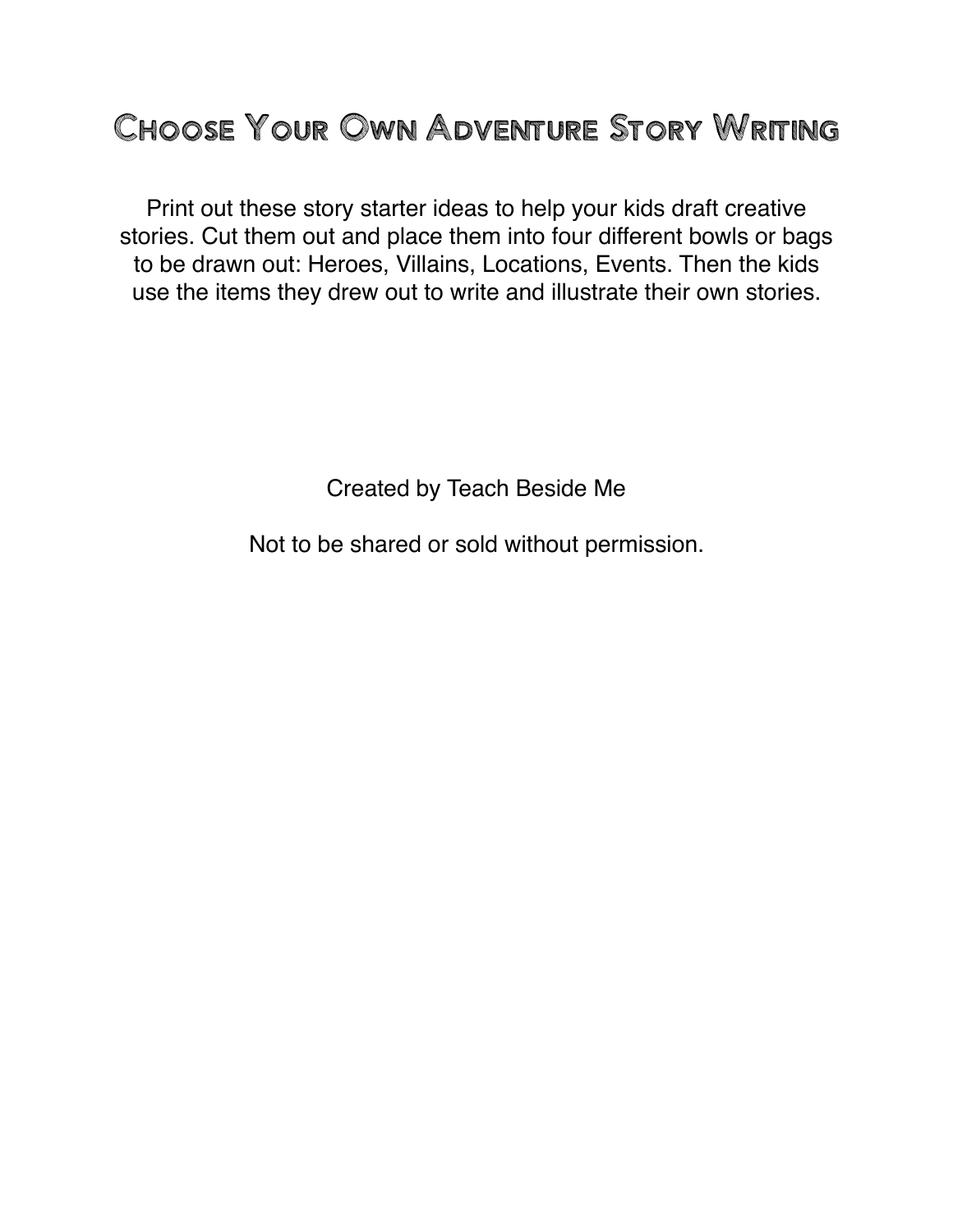## CHOOSE YOUR OWN ADVENTURE STORY WRITING

Print out these story starter ideas to help your kids draft creative stories. Cut them out and place them into four different bowls or bags to be drawn out: Heroes, Villains, Locations, Events. Then the kids use the items they drew out to write and illustrate their own stories.

Created by Teach Beside Me

Not to be shared or sold without permission.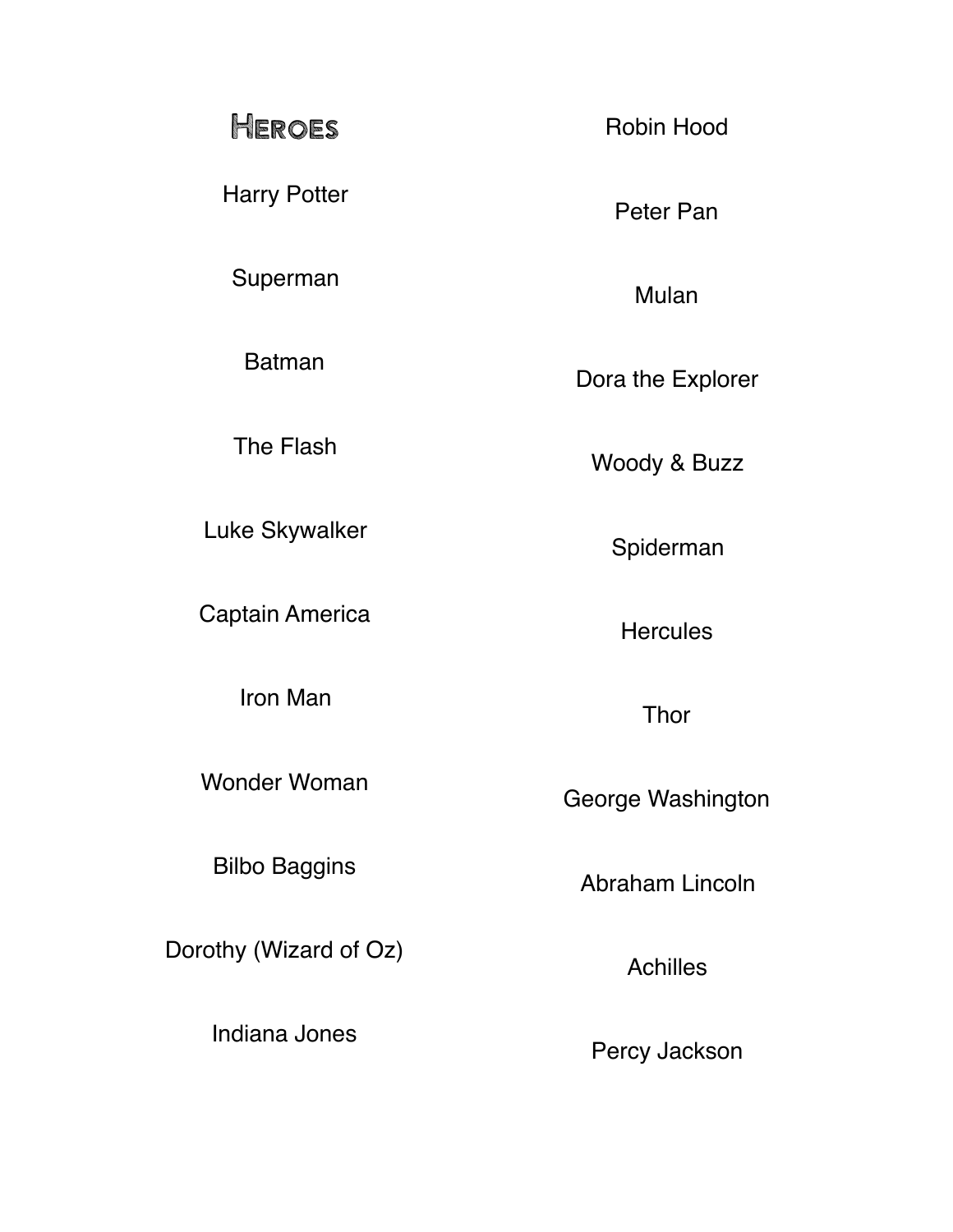## Heroes

Harry Potter

Superman

Batman

The Flash

Luke Skywalker

Captain America

Iron Man

Wonder Woman

Bilbo Baggins

Dorothy (Wizard of Oz)

Indiana Jones

Robin Hood

Peter Pan

Mulan

Dora the Explorer

Woody & Buzz

Spiderman

**Hercules** 

Thor

George Washington

Abraham Lincoln

Achilles

Percy Jackson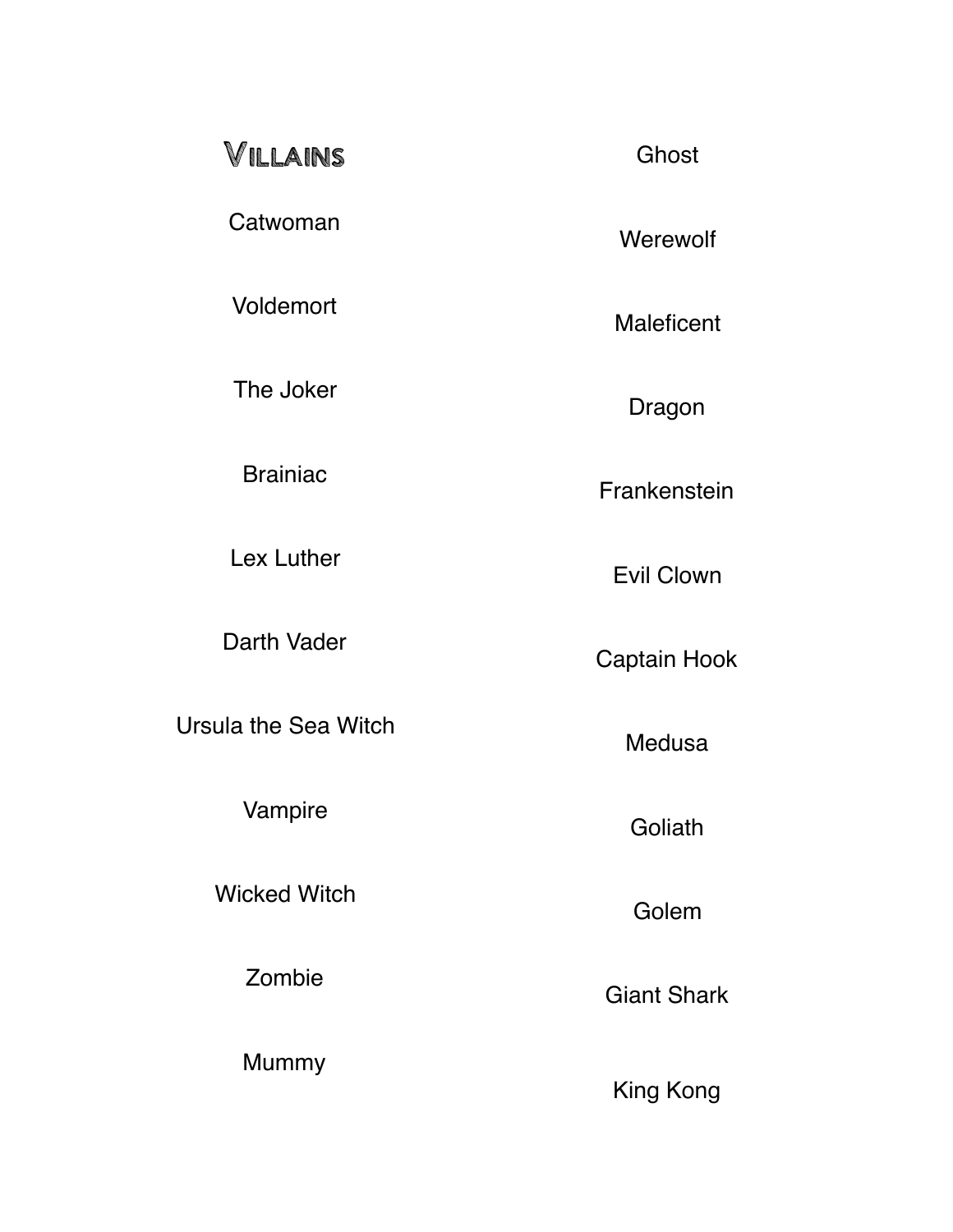| VILLAINS                    | Ghost              |
|-----------------------------|--------------------|
| Catwoman                    | Werewolf           |
| <b>Voldemort</b>            | <b>Maleficent</b>  |
| The Joker                   | Dragon             |
| <b>Brainiac</b>             | Frankenstein       |
| Lex Luther                  | <b>Evil Clown</b>  |
| Darth Vader                 | Captain Hook       |
| <b>Ursula the Sea Witch</b> | <b>Medusa</b>      |
| Vampire                     | Goliath            |
| <b>Wicked Witch</b>         | Golem              |
| Zombie                      | <b>Giant Shark</b> |
| <b>Mummy</b>                | King Kong          |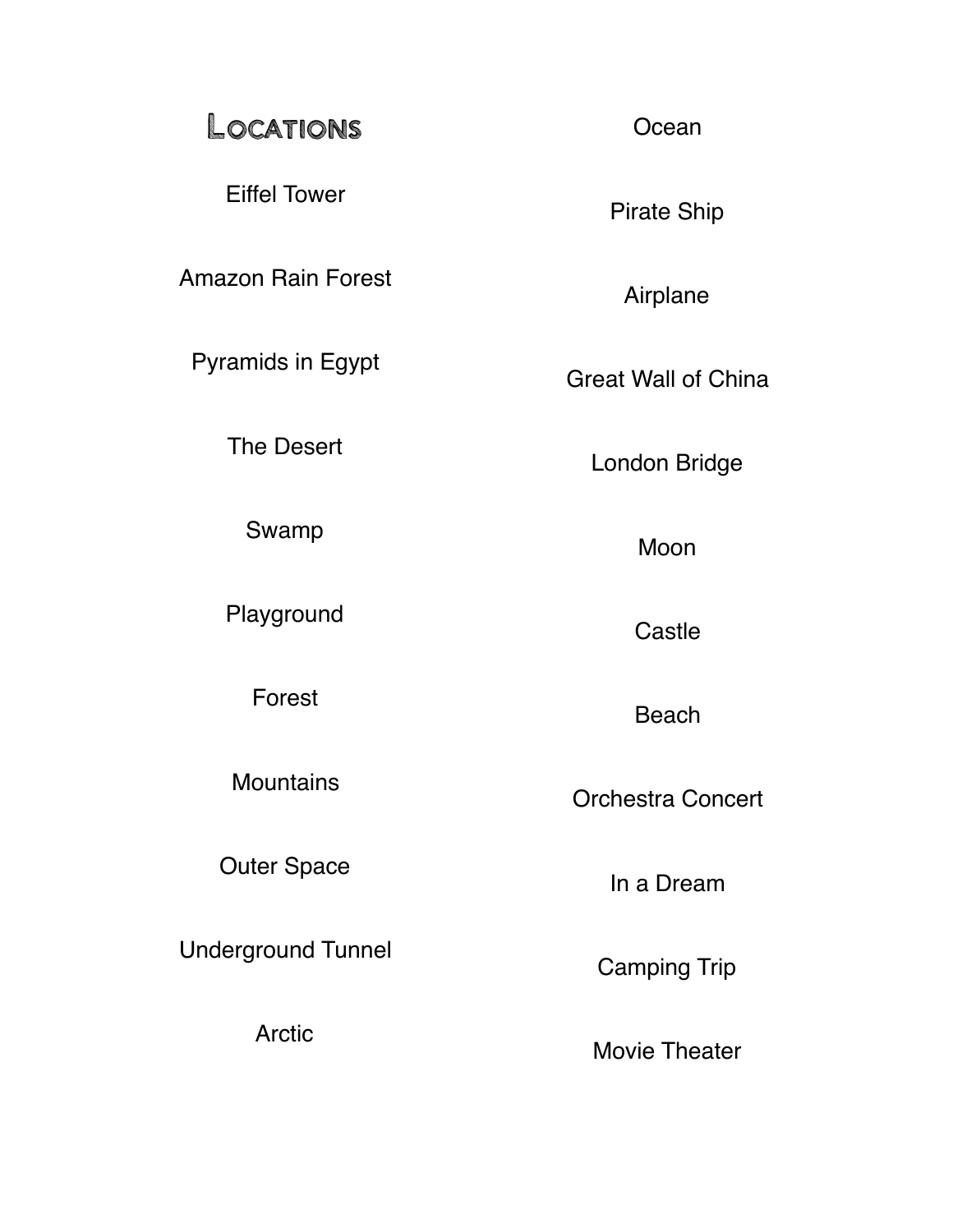## Locations

Eiffel Tower

Amazon Rain Forest

Pyramids in Egypt

The Desert

Swamp

Playground

Forest

**Mountains** 

Outer Space

Underground Tunnel

Arctic

**Ocean** 

Pirate Ship

Airplane

Great Wall of China

London Bridge

Moon

**Castle** 

Beach

Orchestra Concert

In a Dream

Camping Trip

Movie Theater